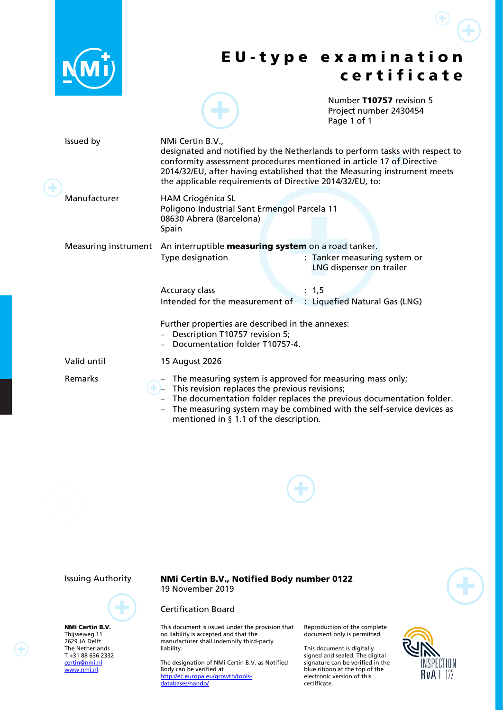|                                                                                                                             |                                                                                                                                                                                                                                                                                                                         | EU-type examination<br>certificate                                                                                                                                                                                                             |  |  |
|-----------------------------------------------------------------------------------------------------------------------------|-------------------------------------------------------------------------------------------------------------------------------------------------------------------------------------------------------------------------------------------------------------------------------------------------------------------------|------------------------------------------------------------------------------------------------------------------------------------------------------------------------------------------------------------------------------------------------|--|--|
|                                                                                                                             |                                                                                                                                                                                                                                                                                                                         | Number T10757 revision 5<br>Project number 2430454<br>Page 1 of 1                                                                                                                                                                              |  |  |
| Issued by                                                                                                                   | NMi Certin B.V.,<br>designated and notified by the Netherlands to perform tasks with respect to<br>conformity assessment procedures mentioned in article 17 of Directive<br>2014/32/EU, after having established that the Measuring instrument meets<br>the applicable requirements of Directive 2014/32/EU, to:        |                                                                                                                                                                                                                                                |  |  |
| Manufacturer                                                                                                                | <b>HAM Criogénica SL</b><br>Poligono Industrial Sant Ermengol Parcela 11<br>08630 Abrera (Barcelona)<br>Spain                                                                                                                                                                                                           |                                                                                                                                                                                                                                                |  |  |
| Measuring instrument                                                                                                        | An interruptible measuring system on a road tanker.<br>Type designation                                                                                                                                                                                                                                                 | : Tanker measuring system or<br>LNG dispenser on trailer                                                                                                                                                                                       |  |  |
|                                                                                                                             | Accuracy class<br>Intended for the measurement of : Liquefied Natural Gas (LNG)                                                                                                                                                                                                                                         | : 1, 5                                                                                                                                                                                                                                         |  |  |
|                                                                                                                             | Further properties are described in the annexes:<br>- Description T10757 revision 5;<br>- Documentation folder T10757-4.                                                                                                                                                                                                |                                                                                                                                                                                                                                                |  |  |
| Valid until                                                                                                                 | 15 August 2026                                                                                                                                                                                                                                                                                                          |                                                                                                                                                                                                                                                |  |  |
| Remarks                                                                                                                     | - The measuring system is approved for measuring mass only;<br>This revision replaces the previous revisions;<br>mentioned in § 1.1 of the description.                                                                                                                                                                 | The documentation folder replaces the previous documentation folder.<br>The measuring system may be combined with the self-service devices as                                                                                                  |  |  |
|                                                                                                                             |                                                                                                                                                                                                                                                                                                                         |                                                                                                                                                                                                                                                |  |  |
| <b>Issuing Authority</b>                                                                                                    | <b>NMi Certin B.V., Notified Body number 0122</b><br>19 November 2019                                                                                                                                                                                                                                                   |                                                                                                                                                                                                                                                |  |  |
| <b>NMi Certin B.V.</b><br>Thijsseweg 11<br>2629 JA Delft<br>The Netherlands<br>T+31886362332<br>certin@nmi.nl<br>www.nmi.nl | <b>Certification Board</b><br>This document is issued under the provision that<br>no liability is accepted and that the<br>manufacturer shall indemnify third-party<br>liability.<br>The designation of NMi Certin B.V. as Notified<br>Body can be verified at<br>http://ec.europa.eu/growth/tools-<br>databases/nando/ | Reproduction of the complete<br>document only is permitted.<br>This document is digitally<br>signed and sealed. The digital<br>signature can be verified in the<br>blue ribbon at the top of the<br>electronic version of this<br>certificate. |  |  |
|                                                                                                                             |                                                                                                                                                                                                                                                                                                                         |                                                                                                                                                                                                                                                |  |  |

 $\bigoplus$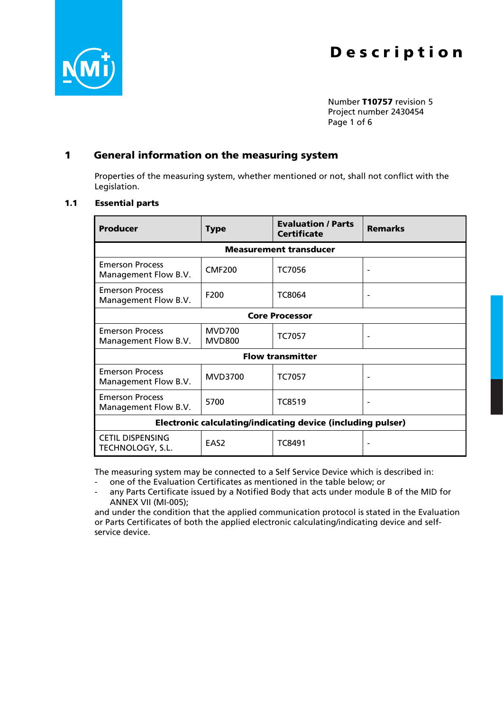



Number T10757 revision 5 Project number 2430454 Page 1 of 6

### 1 General information on the measuring system

Properties of the measuring system, whether mentioned or not, shall not conflict with the Legislation.

### <span id="page-1-0"></span>1.1 Essential parts

| Producer                                                           | <b>Type</b>                    | <b>Evaluation / Parts</b><br><b>Certificate</b> | <b>Remarks</b> |  |  |  |  |  |
|--------------------------------------------------------------------|--------------------------------|-------------------------------------------------|----------------|--|--|--|--|--|
| <b>Measurement transducer</b>                                      |                                |                                                 |                |  |  |  |  |  |
| <b>Emerson Process</b><br>Management Flow B.V.                     | <b>CMF200</b>                  | <b>TC7056</b>                                   |                |  |  |  |  |  |
| <b>Emerson Process</b><br>Management Flow B.V.                     | F200                           | TC8064                                          |                |  |  |  |  |  |
| <b>Core Processor</b>                                              |                                |                                                 |                |  |  |  |  |  |
| <b>Emerson Process</b><br>Management Flow B.V.                     | <b>MVD700</b><br><b>MVD800</b> | TC7057                                          |                |  |  |  |  |  |
| <b>Flow transmitter</b>                                            |                                |                                                 |                |  |  |  |  |  |
| <b>Emerson Process</b><br>Management Flow B.V.                     | <b>MVD3700</b>                 | <b>TC7057</b>                                   |                |  |  |  |  |  |
| <b>Emerson Process</b><br>Management Flow B.V.                     | 5700                           | <b>TC8519</b>                                   |                |  |  |  |  |  |
| <b>Electronic calculating/indicating device (including pulser)</b> |                                |                                                 |                |  |  |  |  |  |
| <b>CETIL DISPENSING</b><br>TECHNOLOGY, S.L.                        | EAS <sub>2</sub>               | TC8491                                          |                |  |  |  |  |  |

The measuring system may be connected to a Self Service Device which is described in:

one of the Evaluation Certificates as mentioned in the table below; or

any Parts Certificate issued by a Notified Body that acts under module B of the MID for ANNEX VII (MI-005);

and under the condition that the applied communication protocol is stated in the Evaluation or Parts Certificates of both the applied electronic calculating/indicating device and selfservice device.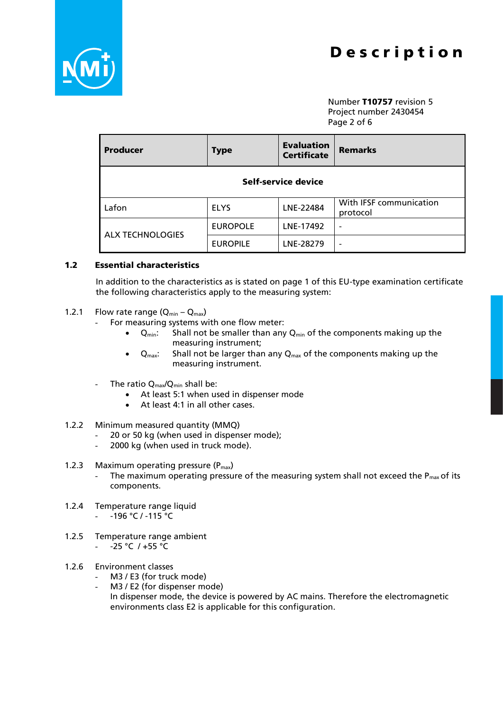

Number T10757 revision 5 Project number 2430454 Page 2 of 6

| <b>Producer</b>         | <b>Type</b>     | <b>Evaluation</b><br><b>Certificate</b> | <b>Remarks</b>                      |  |  |  |
|-------------------------|-----------------|-----------------------------------------|-------------------------------------|--|--|--|
| Self-service device     |                 |                                         |                                     |  |  |  |
| Lafon                   | <b>ELYS</b>     | LNE-22484                               | With IFSF communication<br>protocol |  |  |  |
|                         | <b>EUROPOLE</b> | LNE-17492                               |                                     |  |  |  |
| <b>ALX TECHNOLOGIES</b> | <b>EUROPILE</b> | LNE-28279                               | ۰                                   |  |  |  |

#### 1.2 Essential characteristics

In addition to the characteristics as is stated on page 1 of this EU-type examination certificate the following characteristics apply to the measuring system:

- 1.2.1 Flow rate range  $(Q_{min} Q_{max})$ 
	- For measuring systems with one flow meter:
		- $Q_{min}$ : Shall not be smaller than any  $Q_{min}$  of the components making up the measuring instrument;
		- $Q_{\text{max}}$ : Shall not be larger than any  $Q_{\text{max}}$  of the components making up the measuring instrument.
	- The ratio  $Q_{\text{max}}/Q_{\text{min}}$  shall be:
		- At least 5:1 when used in dispenser mode
		- At least 4:1 in all other cases.
- 1.2.2 Minimum measured quantity (MMQ)
	- 20 or 50 kg (when used in dispenser mode);
	- 2000 kg (when used in truck mode).

#### 1.2.3 Maximum operating pressure  $(P_{max})$

- The maximum operating pressure of the measuring system shall not exceed the  $P_{max}$  of its components.
- 1.2.4 Temperature range liquid
	- $196 °C / -115 °C$
- 1.2.5 Temperature range ambient  $- 25 °C / +55 °C$
- 1.2.6 Environment classes
	- M3 / E3 (for truck mode)
	- M3 / E2 (for dispenser mode)
	- In dispenser mode, the device is powered by AC mains. Therefore the electromagnetic environments class E2 is applicable for this configuration.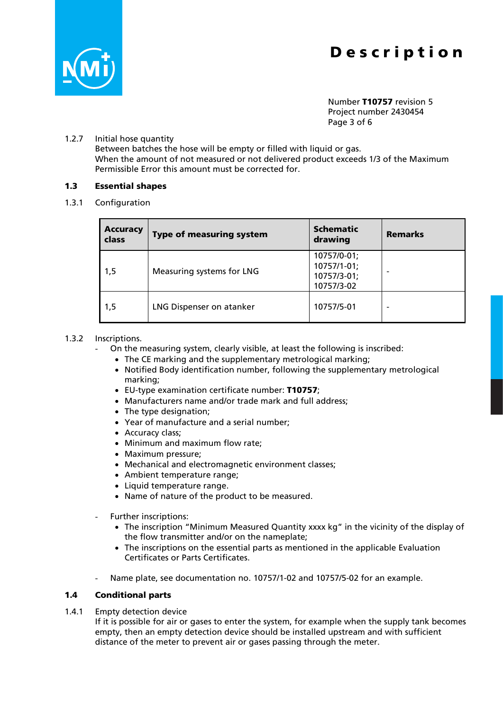

Number T10757 revision 5 Project number 2430454 Page 3 of 6

#### 1.2.7 Initial hose quantity

Between batches the hose will be empty or filled with liquid or gas. When the amount of not measured or not delivered product exceeds 1/3 of the Maximum Permissible Error this amount must be corrected for.

#### 1.3 Essential shapes

1.3.1 Configuration

| <b>Accuracy</b><br>class | <b>Type of measuring system</b> | <b>Schematic</b><br>drawing                             | <b>Remarks</b> |
|--------------------------|---------------------------------|---------------------------------------------------------|----------------|
| 1,5                      | Measuring systems for LNG       | 10757/0-01;<br>10757/1-01;<br>10757/3-01;<br>10757/3-02 |                |
| 1,5                      | LNG Dispenser on atanker        | 10757/5-01                                              |                |

#### 1.3.2 Inscriptions.

- On the measuring system, clearly visible, at least the following is inscribed:
	- The CE marking and the supplementary metrological marking;
	- Notified Body identification number, following the supplementary metrological marking;
	- EU-type examination certificate number: T10757;
	- Manufacturers name and/or trade mark and full address;
	- The type designation:
	- Year of manufacture and a serial number;
	- Accuracy class;
	- Minimum and maximum flow rate;
	- Maximum pressure;
	- Mechanical and electromagnetic environment classes;
	- Ambient temperature range;
	- Liquid temperature range.
	- Name of nature of the product to be measured.
- Further inscriptions:
	- The inscription "Minimum Measured Quantity xxxx kg" in the vicinity of the display of the flow transmitter and/or on the nameplate;
	- The inscriptions on the essential parts as mentioned in the applicable Evaluation Certificates or Parts Certificates.
- Name plate, see documentation no. 10757/1-02 and 10757/5-02 for an example.

#### <span id="page-3-0"></span>1.4 Conditional parts

1.4.1 Empty detection device

If it is possible for air or gases to enter the system, for example when the supply tank becomes empty, then an empty detection device should be installed upstream and with sufficient distance of the meter to prevent air or gases passing through the meter.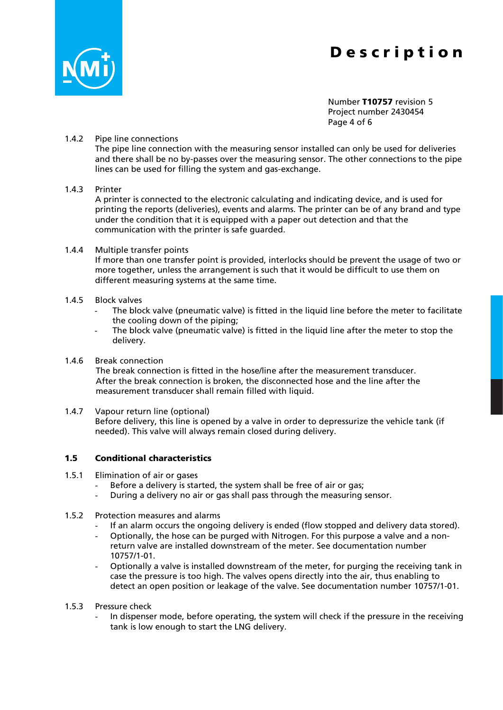

Number T10757 revision 5 Project number 2430454 Page 4 of 6

#### 1.4.2 Pipe line connections

The pipe line connection with the measuring sensor installed can only be used for deliveries and there shall be no by-passes over the measuring sensor. The other connections to the pipe lines can be used for filling the system and gas-exchange.

#### 1.4.3 Printer

A printer is connected to the electronic calculating and indicating device, and is used for printing the reports (deliveries), events and alarms. The printer can be of any brand and type under the condition that it is equipped with a paper out detection and that the communication with the printer is safe guarded.

#### 1.4.4 Multiple transfer points

If more than one transfer point is provided, interlocks should be prevent the usage of two or more together, unless the arrangement is such that it would be difficult to use them on different measuring systems at the same time.

#### 1.4.5 Block valves

- The block valve (pneumatic valve) is fitted in the liquid line before the meter to facilitate the cooling down of the piping;
- The block valve (pneumatic valve) is fitted in the liquid line after the meter to stop the delivery.

#### 1.4.6 Break connection

The break connection is fitted in the hose/line after the measurement transducer. After the break connection is broken, the disconnected hose and the line after the measurement transducer shall remain filled with liquid.

1.4.7 Vapour return line (optional) Before delivery, this line is opened by a valve in order to depressurize the vehicle tank (if needed). This valve will always remain closed during delivery.

#### 1.5 Conditional characteristics

- 1.5.1 Elimination of air or gases
	- Before a delivery is started, the system shall be free of air or gas;
	- During a delivery no air or gas shall pass through the measuring sensor.
- 1.5.2 Protection measures and alarms
	- If an alarm occurs the ongoing delivery is ended (flow stopped and delivery data stored).
	- Optionally, the hose can be purged with Nitrogen. For this purpose a valve and a nonreturn valve are installed downstream of the meter. See documentation number 10757/1-01.
	- Optionally a valve is installed downstream of the meter, for purging the receiving tank in case the pressure is too high. The valves opens directly into the air, thus enabling to detect an open position or leakage of the valve. See documentation number 10757/1-01.
- 1.5.3 Pressure check
	- In dispenser mode, before operating, the system will check if the pressure in the receiving tank is low enough to start the LNG delivery.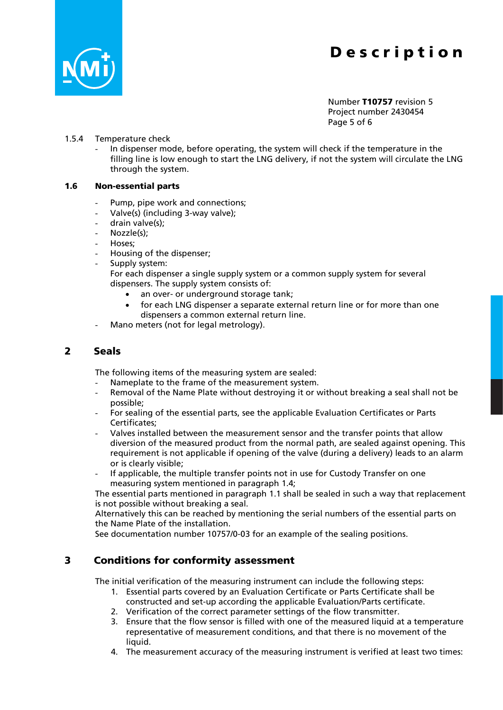

Number T10757 revision 5 Project number 2430454 Page 5 of 6

#### 1.5.4 Temperature check

In dispenser mode, before operating, the system will check if the temperature in the filling line is low enough to start the LNG delivery, if not the system will circulate the LNG through the system.

#### 1.6 Non-essential parts

- Pump, pipe work and connections;
- Valve(s) (including 3-way valve);
- drain valve(s);
- Nozzle(s);
- Hoses;
- Housing of the dispenser;
- Supply system:

For each dispenser a single supply system or a common supply system for several dispensers. The supply system consists of:

- an over- or underground storage tank;
- for each LNG dispenser a separate external return line or for more than one dispensers a common external return line.
- Mano meters (not for legal metrology).

### 2 Seals

The following items of the measuring system are sealed:

- Nameplate to the frame of the measurement system.
- Removal of the Name Plate without destroying it or without breaking a seal shall not be possible;
- For sealing of the essential parts, see the applicable Evaluation Certificates or Parts Certificates;
- Valves installed between the measurement sensor and the transfer points that allow diversion of the measured product from the normal path, are sealed against opening. This requirement is not applicable if opening of the valve (during a delivery) leads to an alarm or is clearly visible;
- If applicable, the multiple transfer points not in use for Custody Transfer on one measuring system mentioned in paragraph [1.4;](#page-3-0)

The essential parts mentioned in paragraph [1.1](#page-1-0) shall be sealed in such a way that replacement is not possible without breaking a seal.

Alternatively this can be reached by mentioning the serial numbers of the essential parts on the Name Plate of the installation.

See documentation number 10757/0-03 for an example of the sealing positions.

### 3 Conditions for conformity assessment

The initial verification of the measuring instrument can include the following steps:

- 1. Essential parts covered by an Evaluation Certificate or Parts Certificate shall be constructed and set-up according the applicable Evaluation/Parts certificate.
- 2. Verification of the correct parameter settings of the flow transmitter.
- 3. Ensure that the flow sensor is filled with one of the measured liquid at a temperature representative of measurement conditions, and that there is no movement of the liquid.
- 4. The measurement accuracy of the measuring instrument is verified at least two times: